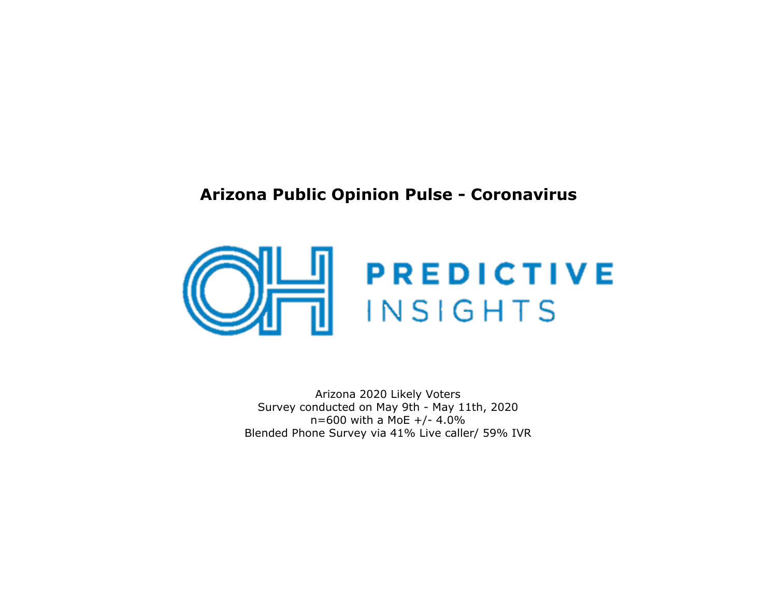

Arizona 2020 Likely Voters Survey conducted on May 9th - May 11th, 2020 $n=600$  with a MoE +/- 4.0% Blended Phone Survey via 41% Live caller/ 59% IVR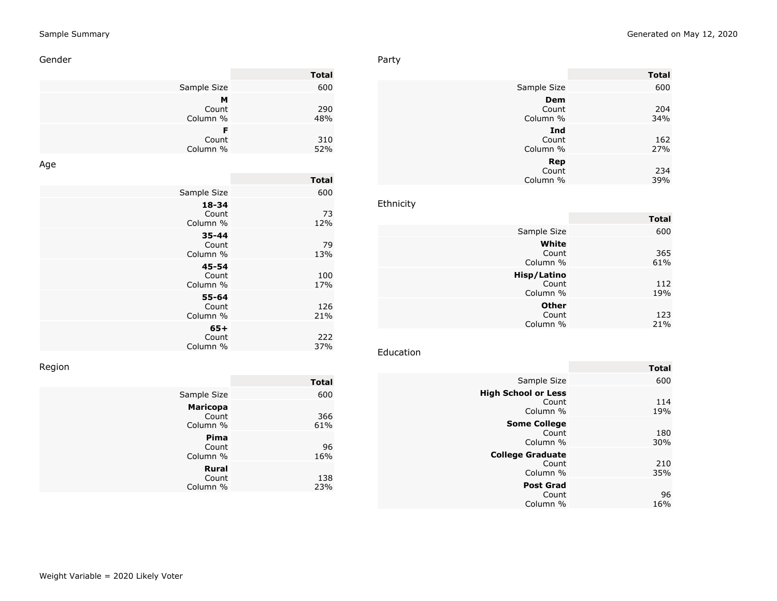### Sample Summary

#### Gender

|                        | <b>Total</b> |
|------------------------|--------------|
| Sample Size            | 600          |
| М<br>Count<br>Column % | 290<br>48%   |
| Count<br>Column %      | 310<br>52%   |

### Age

|                                | <b>Total</b> |
|--------------------------------|--------------|
| Sample Size                    | 600          |
| 18-34<br>Count<br>Column %     | 73<br>12%    |
| $35 - 44$<br>Count<br>Column % | 79<br>13%    |
| $45 - 54$<br>Count<br>Column % | 100<br>17%   |
| 55-64<br>Count<br>Column %     | 126<br>21%   |
| $65+$<br>Count<br>Column %     | 222<br>37%   |

## Region

|                                      | <b>Total</b> |
|--------------------------------------|--------------|
| Sample Size                          | 600          |
| <b>Maricopa</b><br>Count<br>Column % | 366<br>61%   |
| Pima<br>Count<br>Column %            | 96<br>16%    |
| <b>Rural</b><br>Count<br>Column %    | 138<br>23%   |

#### Generated on May 12, 2020

## Party

|                          | <b>Total</b> |
|--------------------------|--------------|
| Sample Size              | 600          |
| Dem                      |              |
| Count<br>Column %        | 204<br>34%   |
|                          |              |
| Ind<br>Count<br>Column % | 162<br>27%   |
| Rep                      |              |
| Count<br>Column %        | 234<br>39%   |

## Ethnicity

|                                   | <b>Total</b> |
|-----------------------------------|--------------|
| Sample Size                       | 600          |
| White<br>Count<br>Column %        | 365<br>61%   |
| Hisp/Latino<br>Count<br>Column %  | 112<br>19%   |
| <b>Other</b><br>Count<br>Column % | 123<br>21%   |

### Education

|                                                 | <b>Total</b> |
|-------------------------------------------------|--------------|
| Sample Size                                     | 600          |
| <b>High School or Less</b><br>Count<br>Column % | 114<br>19%   |
| <b>Some College</b><br>Count<br>Column %        | 180<br>30%   |
| <b>College Graduate</b><br>Count<br>Column %    | 210<br>35%   |
| <b>Post Grad</b><br>Count<br>Column %           | 96<br>16%    |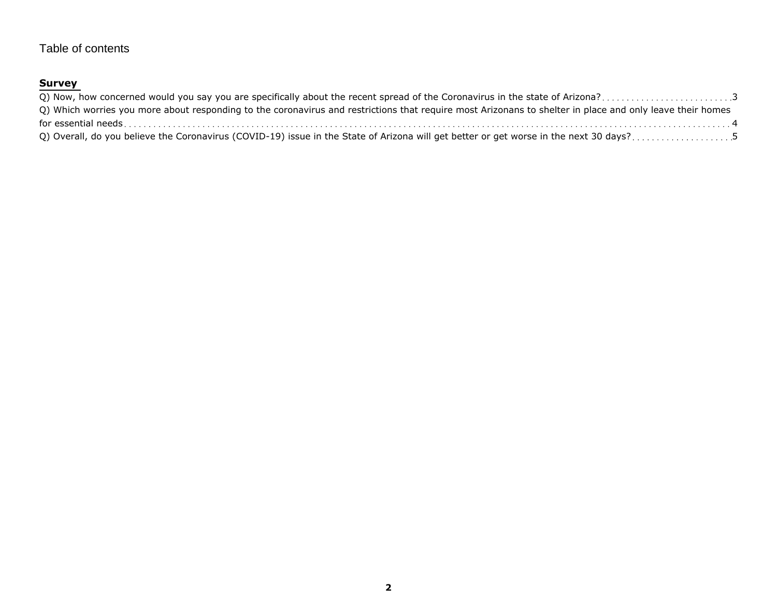## Table of contents

## **Survey**

| Q) Which worries you more about responding to the coronavirus and restrictions that require most Arizonans to shelter in place and only leave their homes |  |
|-----------------------------------------------------------------------------------------------------------------------------------------------------------|--|
|                                                                                                                                                           |  |
|                                                                                                                                                           |  |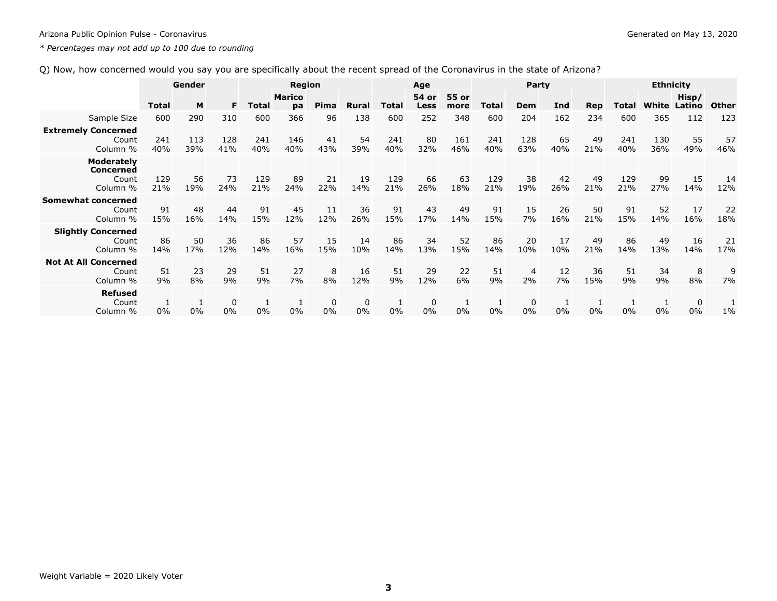<span id="page-3-0"></span>*\* Percentages may not add up to 100 due to rounding*

Q) Now, how concerned would you say you are specifically about the recent spread of the Coronavirus in the state of Arizona?

|                                                            |            | Gender     |            | Region     |              |           |           | Age        |                      |               |              | Party      |           |           | <b>Ethnicity</b> |            |                 |              |  |  |
|------------------------------------------------------------|------------|------------|------------|------------|--------------|-----------|-----------|------------|----------------------|---------------|--------------|------------|-----------|-----------|------------------|------------|-----------------|--------------|--|--|
|                                                            | Total      | M          | F.         | Total      | Marico<br>pa | Pima      | Rural     | Total      | 54 or<br><b>Less</b> | 55 or<br>more | <b>Total</b> | Dem        | Ind       | Rep       | Total            | White      | Hisp/<br>Latino | <b>Other</b> |  |  |
| Sample Size                                                | 600        | 290        | 310        | 600        | 366          | 96        | 138       | 600        | 252                  | 348           | 600          | 204        | 162       | 234       | 600              | 365        | 112             | 123          |  |  |
| <b>Extremely Concerned</b><br>Count<br>Column %            | 241<br>40% | 113<br>39% | 128<br>41% | 241<br>40% | 146<br>40%   | 41<br>43% | 54<br>39% | 241<br>40% | 80<br>32%            | 161<br>46%    | 241<br>40%   | 128<br>63% | 65<br>40% | 49<br>21% | 241<br>40%       | 130<br>36% | 55<br>49%       | 57<br>46%    |  |  |
| <b>Moderately</b><br><b>Concerned</b><br>Count<br>Column % | 129<br>21% | 56<br>19%  | 73<br>24%  | 129<br>21% | 89<br>24%    | 21<br>22% | 19<br>14% | 129<br>21% | 66<br>26%            | 63<br>18%     | 129<br>21%   | 38<br>19%  | 42<br>26% | 49<br>21% | 129<br>21%       | 99<br>27%  | 15<br>14%       | 14<br>12%    |  |  |
| <b>Somewhat concerned</b><br>Count<br>Column %             | 91<br>15%  | 48<br>16%  | 44<br>14%  | 91<br>15%  | 45<br>12%    | 11<br>12% | 36<br>26% | 91<br>15%  | 43<br>17%            | 49<br>14%     | 91<br>15%    | 15<br>7%   | 26<br>16% | 50<br>21% | 91<br>15%        | 52<br>14%  | 17<br>16%       | 22<br>18%    |  |  |
| <b>Slightly Concerned</b><br>Count<br>Column %             | 86<br>14%  | 50<br>17%  | 36<br>12%  | 86<br>14%  | 57<br>16%    | 15<br>15% | 14<br>10% | 86<br>14%  | 34<br>13%            | 52<br>15%     | 86<br>14%    | 20<br>10%  | 17<br>10% | 49<br>21% | 86<br>14%        | 49<br>13%  | 16<br>14%       | 21<br>17%    |  |  |
| <b>Not At All Concerned</b><br>Count<br>Column %           | 51<br>9%   | 23<br>8%   | 29<br>9%   | 51<br>9%   | 27<br>7%     | 8<br>8%   | 16<br>12% | 51<br>9%   | 29<br>12%            | 22<br>6%      | 51<br>9%     | 4<br>2%    | 12<br>7%  | 36<br>15% | 51<br>9%         | 34<br>9%   | 8<br>8%         | 9<br>7%      |  |  |
| <b>Refused</b><br>Count<br>Column %                        | 0%         | $0\%$      | 0<br>$0\%$ | 0%         | 0%           | 0<br>0%   | 0<br>0%   | 0%         | 0<br>$0\%$           | 0%            | 0%           | 0<br>$0\%$ | 0%        | 0%        | 0%               | 0%         | 0<br>$0\%$      | $1\%$        |  |  |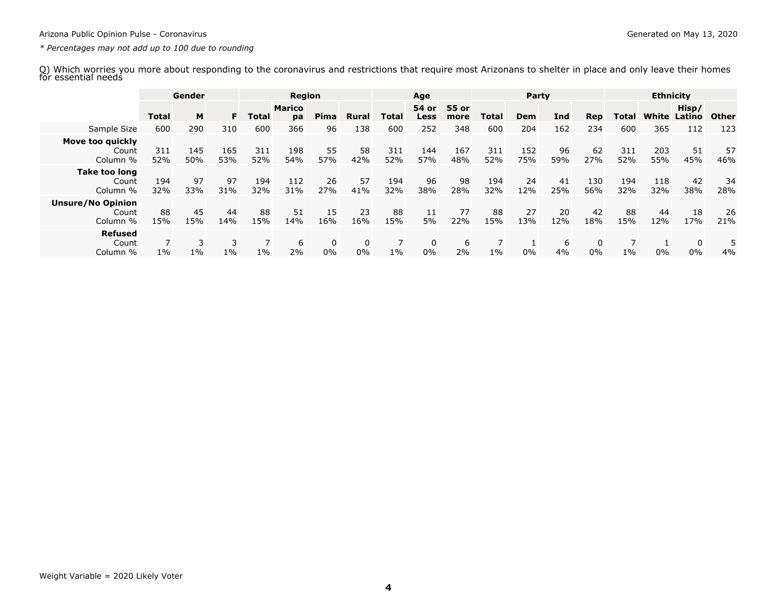<span id="page-4-0"></span>*\* Percentages may not add up to 100 due to rounding*

Q) Which worries you more about responding to the coronavirus and restrictions that require most Arizonans to shelter in place and only leave their homes for essential needs

|                                               | Gender       |            |            | <b>Region</b> |              |            |           | Age          |               |               |            | Party      |           |            | <b>Ethnicity</b> |            |                 |           |  |  |
|-----------------------------------------------|--------------|------------|------------|---------------|--------------|------------|-----------|--------------|---------------|---------------|------------|------------|-----------|------------|------------------|------------|-----------------|-----------|--|--|
|                                               | <b>Total</b> | M          | F.         | Total         | Marico<br>pa | Pima       | Rural     | <b>Total</b> | 54 or<br>Less | 55 or<br>more | Total      | Dem        | Ind       | Rep        | Total            | White      | Hisp/<br>Latino | Other     |  |  |
| Sample Size                                   | 600          | 290        | 310        | 600           | 366          | 96         | 138       | 600          | 252           | 348           | 600        | 204        | 162       | 234        | 600              | 365        | 112             | 123       |  |  |
| Move too quickly<br>Count<br>Column %         | 311<br>52%   | 145<br>50% | 165<br>53% | 311<br>52%    | 198<br>54%   | 55<br>57%  | 58<br>42% | 311<br>52%   | 144<br>57%    | 167<br>48%    | 311<br>52% | 152<br>75% | 96<br>59% | 62<br>27%  | 311<br>52%       | 203<br>55% | 51<br>45%       | 57<br>46% |  |  |
| Take too long<br>Count<br>Column %            | 194<br>32%   | 97<br>33%  | 97<br>31%  | 194<br>32%    | 112<br>31%   | 26<br>27%  | 57<br>41% | 194<br>32%   | 96<br>38%     | 98<br>28%     | 194<br>32% | 24<br>12%  | 41<br>25% | 130<br>56% | 194<br>32%       | 118<br>32% | 42<br>38%       | 34<br>28% |  |  |
| <b>Unsure/No Opinion</b><br>Count<br>Column % | 88<br>15%    | 45<br>15%  | 44<br>14%  | 88<br>15%     | 51<br>14%    | 15<br>16%  | 23<br>16% | 88<br>15%    | 11<br>5%      | 77<br>22%     | 88<br>15%  | 27<br>13%  | 20<br>12% | 42<br>18%  | 88<br>15%        | 44<br>12%  | 18<br>17%       | 26<br>21% |  |  |
| <b>Refused</b><br>Count<br>Column %           | $1\%$        | $1\%$      | $1\%$      | $1\%$         | 6<br>2%      | 0<br>$0\%$ | 0<br>0%   | $1\%$        | 0<br>$0\%$    | 6<br>2%       | $1\%$      | $0\%$      | 6<br>4%   | 0<br>0%    | $1\%$            | $0\%$      | 0<br>$0\%$      | 4%        |  |  |